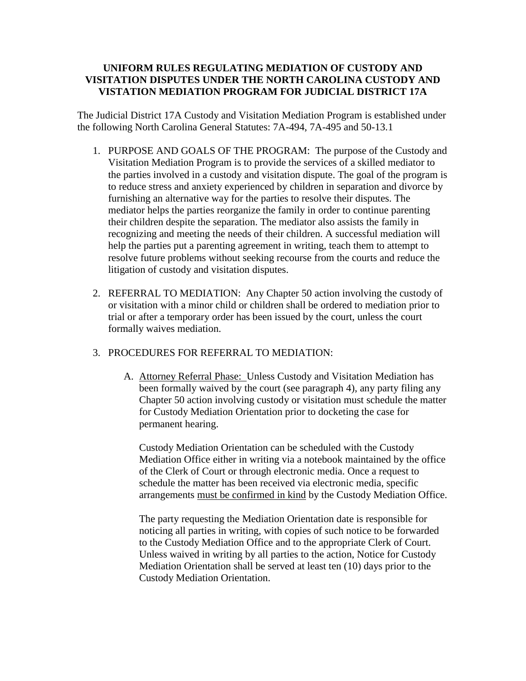## **UNIFORM RULES REGULATING MEDIATION OF CUSTODY AND VISITATION DISPUTES UNDER THE NORTH CAROLINA CUSTODY AND VISTATION MEDIATION PROGRAM FOR JUDICIAL DISTRICT 17A**

The Judicial District 17A Custody and Visitation Mediation Program is established under the following North Carolina General Statutes: 7A-494, 7A-495 and 50-13.1

- 1. PURPOSE AND GOALS OF THE PROGRAM: The purpose of the Custody and Visitation Mediation Program is to provide the services of a skilled mediator to the parties involved in a custody and visitation dispute. The goal of the program is to reduce stress and anxiety experienced by children in separation and divorce by furnishing an alternative way for the parties to resolve their disputes. The mediator helps the parties reorganize the family in order to continue parenting their children despite the separation. The mediator also assists the family in recognizing and meeting the needs of their children. A successful mediation will help the parties put a parenting agreement in writing, teach them to attempt to resolve future problems without seeking recourse from the courts and reduce the litigation of custody and visitation disputes.
- 2. REFERRAL TO MEDIATION: Any Chapter 50 action involving the custody of or visitation with a minor child or children shall be ordered to mediation prior to trial or after a temporary order has been issued by the court, unless the court formally waives mediation.

## 3. PROCEDURES FOR REFERRAL TO MEDIATION:

A. Attorney Referral Phase: Unless Custody and Visitation Mediation has been formally waived by the court (see paragraph 4), any party filing any Chapter 50 action involving custody or visitation must schedule the matter for Custody Mediation Orientation prior to docketing the case for permanent hearing.

Custody Mediation Orientation can be scheduled with the Custody Mediation Office either in writing via a notebook maintained by the office of the Clerk of Court or through electronic media. Once a request to schedule the matter has been received via electronic media, specific arrangements must be confirmed in kind by the Custody Mediation Office.

The party requesting the Mediation Orientation date is responsible for noticing all parties in writing, with copies of such notice to be forwarded to the Custody Mediation Office and to the appropriate Clerk of Court. Unless waived in writing by all parties to the action, Notice for Custody Mediation Orientation shall be served at least ten (10) days prior to the Custody Mediation Orientation.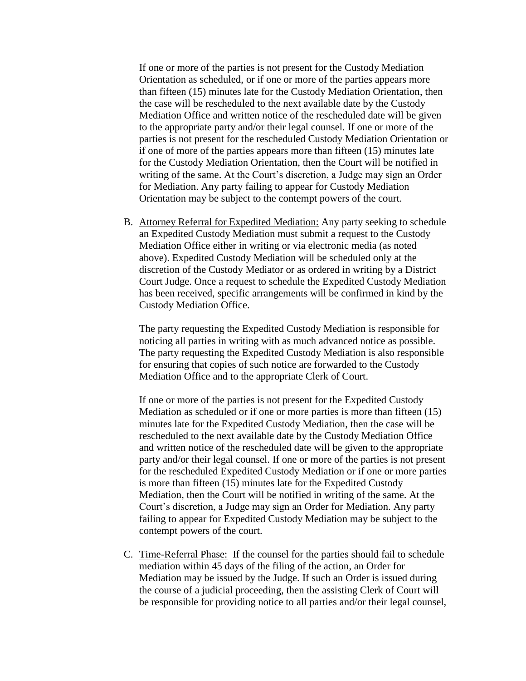If one or more of the parties is not present for the Custody Mediation Orientation as scheduled, or if one or more of the parties appears more than fifteen (15) minutes late for the Custody Mediation Orientation, then the case will be rescheduled to the next available date by the Custody Mediation Office and written notice of the rescheduled date will be given to the appropriate party and/or their legal counsel. If one or more of the parties is not present for the rescheduled Custody Mediation Orientation or if one of more of the parties appears more than fifteen (15) minutes late for the Custody Mediation Orientation, then the Court will be notified in writing of the same. At the Court's discretion, a Judge may sign an Order for Mediation. Any party failing to appear for Custody Mediation Orientation may be subject to the contempt powers of the court.

B. Attorney Referral for Expedited Mediation: Any party seeking to schedule an Expedited Custody Mediation must submit a request to the Custody Mediation Office either in writing or via electronic media (as noted above). Expedited Custody Mediation will be scheduled only at the discretion of the Custody Mediator or as ordered in writing by a District Court Judge. Once a request to schedule the Expedited Custody Mediation has been received, specific arrangements will be confirmed in kind by the Custody Mediation Office.

The party requesting the Expedited Custody Mediation is responsible for noticing all parties in writing with as much advanced notice as possible. The party requesting the Expedited Custody Mediation is also responsible for ensuring that copies of such notice are forwarded to the Custody Mediation Office and to the appropriate Clerk of Court.

If one or more of the parties is not present for the Expedited Custody Mediation as scheduled or if one or more parties is more than fifteen (15) minutes late for the Expedited Custody Mediation, then the case will be rescheduled to the next available date by the Custody Mediation Office and written notice of the rescheduled date will be given to the appropriate party and/or their legal counsel. If one or more of the parties is not present for the rescheduled Expedited Custody Mediation or if one or more parties is more than fifteen (15) minutes late for the Expedited Custody Mediation, then the Court will be notified in writing of the same. At the Court's discretion, a Judge may sign an Order for Mediation. Any party failing to appear for Expedited Custody Mediation may be subject to the contempt powers of the court.

C. Time-Referral Phase:If the counsel for the parties should fail to schedule mediation within 45 days of the filing of the action, an Order for Mediation may be issued by the Judge. If such an Order is issued during the course of a judicial proceeding, then the assisting Clerk of Court will be responsible for providing notice to all parties and/or their legal counsel,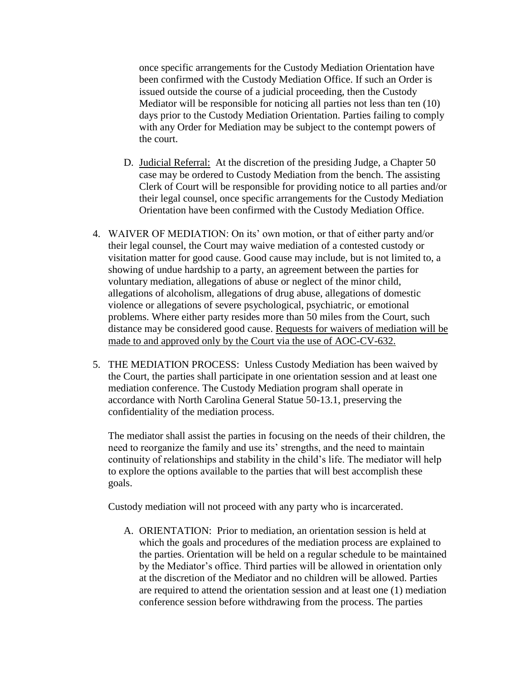once specific arrangements for the Custody Mediation Orientation have been confirmed with the Custody Mediation Office. If such an Order is issued outside the course of a judicial proceeding, then the Custody Mediator will be responsible for noticing all parties not less than ten (10) days prior to the Custody Mediation Orientation. Parties failing to comply with any Order for Mediation may be subject to the contempt powers of the court.

- D. Judicial Referral: At the discretion of the presiding Judge, a Chapter 50 case may be ordered to Custody Mediation from the bench. The assisting Clerk of Court will be responsible for providing notice to all parties and/or their legal counsel, once specific arrangements for the Custody Mediation Orientation have been confirmed with the Custody Mediation Office.
- 4. WAIVER OF MEDIATION: On its' own motion, or that of either party and/or their legal counsel, the Court may waive mediation of a contested custody or visitation matter for good cause. Good cause may include, but is not limited to, a showing of undue hardship to a party, an agreement between the parties for voluntary mediation, allegations of abuse or neglect of the minor child, allegations of alcoholism, allegations of drug abuse, allegations of domestic violence or allegations of severe psychological, psychiatric, or emotional problems. Where either party resides more than 50 miles from the Court, such distance may be considered good cause. Requests for waivers of mediation will be made to and approved only by the Court via the use of AOC-CV-632.
- 5. THE MEDIATION PROCESS: Unless Custody Mediation has been waived by the Court, the parties shall participate in one orientation session and at least one mediation conference. The Custody Mediation program shall operate in accordance with North Carolina General Statue 50-13.1, preserving the confidentiality of the mediation process.

The mediator shall assist the parties in focusing on the needs of their children, the need to reorganize the family and use its' strengths, and the need to maintain continuity of relationships and stability in the child's life. The mediator will help to explore the options available to the parties that will best accomplish these goals.

Custody mediation will not proceed with any party who is incarcerated.

A. ORIENTATION: Prior to mediation, an orientation session is held at which the goals and procedures of the mediation process are explained to the parties. Orientation will be held on a regular schedule to be maintained by the Mediator's office. Third parties will be allowed in orientation only at the discretion of the Mediator and no children will be allowed. Parties are required to attend the orientation session and at least one (1) mediation conference session before withdrawing from the process. The parties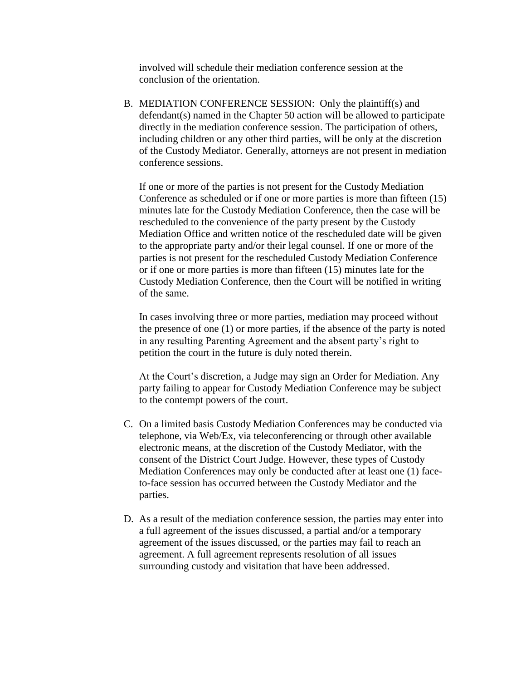involved will schedule their mediation conference session at the conclusion of the orientation.

B. MEDIATION CONFERENCE SESSION: Only the plaintiff(s) and defendant(s) named in the Chapter 50 action will be allowed to participate directly in the mediation conference session. The participation of others, including children or any other third parties, will be only at the discretion of the Custody Mediator. Generally, attorneys are not present in mediation conference sessions.

If one or more of the parties is not present for the Custody Mediation Conference as scheduled or if one or more parties is more than fifteen (15) minutes late for the Custody Mediation Conference, then the case will be rescheduled to the convenience of the party present by the Custody Mediation Office and written notice of the rescheduled date will be given to the appropriate party and/or their legal counsel. If one or more of the parties is not present for the rescheduled Custody Mediation Conference or if one or more parties is more than fifteen (15) minutes late for the Custody Mediation Conference, then the Court will be notified in writing of the same.

In cases involving three or more parties, mediation may proceed without the presence of one (1) or more parties, if the absence of the party is noted in any resulting Parenting Agreement and the absent party's right to petition the court in the future is duly noted therein.

At the Court's discretion, a Judge may sign an Order for Mediation. Any party failing to appear for Custody Mediation Conference may be subject to the contempt powers of the court.

- C. On a limited basis Custody Mediation Conferences may be conducted via telephone, via Web/Ex, via teleconferencing or through other available electronic means, at the discretion of the Custody Mediator, with the consent of the District Court Judge. However, these types of Custody Mediation Conferences may only be conducted after at least one (1) faceto-face session has occurred between the Custody Mediator and the parties.
- D. As a result of the mediation conference session, the parties may enter into a full agreement of the issues discussed, a partial and/or a temporary agreement of the issues discussed, or the parties may fail to reach an agreement. A full agreement represents resolution of all issues surrounding custody and visitation that have been addressed.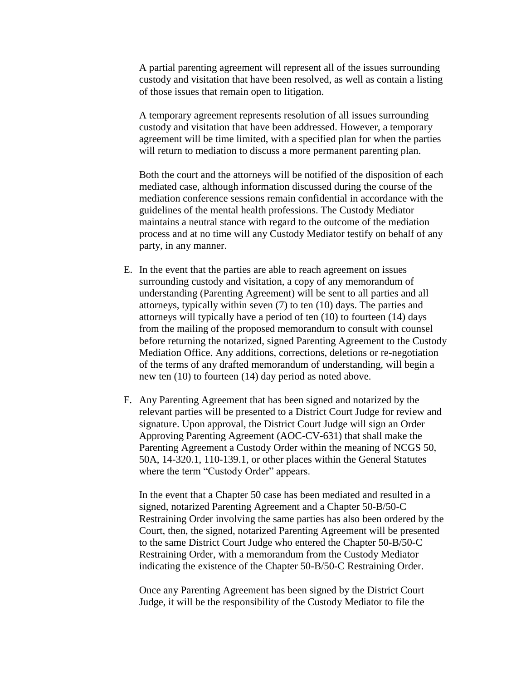A partial parenting agreement will represent all of the issues surrounding custody and visitation that have been resolved, as well as contain a listing of those issues that remain open to litigation.

A temporary agreement represents resolution of all issues surrounding custody and visitation that have been addressed. However, a temporary agreement will be time limited, with a specified plan for when the parties will return to mediation to discuss a more permanent parenting plan.

Both the court and the attorneys will be notified of the disposition of each mediated case, although information discussed during the course of the mediation conference sessions remain confidential in accordance with the guidelines of the mental health professions. The Custody Mediator maintains a neutral stance with regard to the outcome of the mediation process and at no time will any Custody Mediator testify on behalf of any party, in any manner.

- E. In the event that the parties are able to reach agreement on issues surrounding custody and visitation, a copy of any memorandum of understanding (Parenting Agreement) will be sent to all parties and all attorneys, typically within seven (7) to ten (10) days. The parties and attorneys will typically have a period of ten (10) to fourteen (14) days from the mailing of the proposed memorandum to consult with counsel before returning the notarized, signed Parenting Agreement to the Custody Mediation Office. Any additions, corrections, deletions or re-negotiation of the terms of any drafted memorandum of understanding, will begin a new ten (10) to fourteen (14) day period as noted above.
- F. Any Parenting Agreement that has been signed and notarized by the relevant parties will be presented to a District Court Judge for review and signature. Upon approval, the District Court Judge will sign an Order Approving Parenting Agreement (AOC-CV-631) that shall make the Parenting Agreement a Custody Order within the meaning of NCGS 50, 50A, 14-320.1, 110-139.1, or other places within the General Statutes where the term "Custody Order" appears.

In the event that a Chapter 50 case has been mediated and resulted in a signed, notarized Parenting Agreement and a Chapter 50-B/50-C Restraining Order involving the same parties has also been ordered by the Court, then, the signed, notarized Parenting Agreement will be presented to the same District Court Judge who entered the Chapter 50-B/50-C Restraining Order, with a memorandum from the Custody Mediator indicating the existence of the Chapter 50-B/50-C Restraining Order.

Once any Parenting Agreement has been signed by the District Court Judge, it will be the responsibility of the Custody Mediator to file the